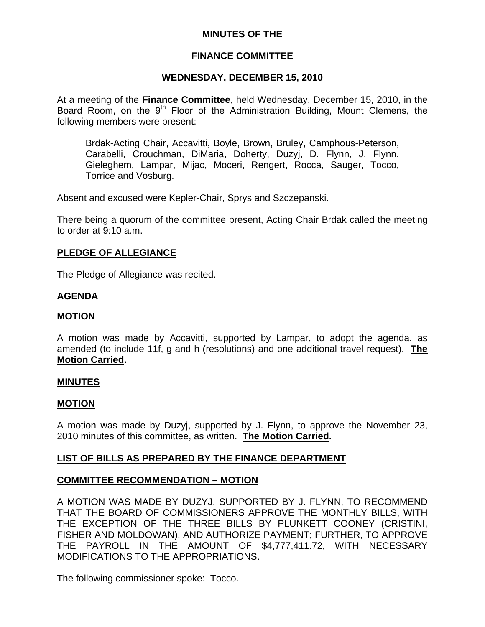# **MINUTES OF THE**

# **FINANCE COMMITTEE**

# **WEDNESDAY, DECEMBER 15, 2010**

At a meeting of the **Finance Committee**, held Wednesday, December 15, 2010, in the Board Room, on the  $9<sup>th</sup>$  Floor of the Administration Building, Mount Clemens, the following members were present:

Brdak-Acting Chair, Accavitti, Boyle, Brown, Bruley, Camphous-Peterson, Carabelli, Crouchman, DiMaria, Doherty, Duzyj, D. Flynn, J. Flynn, Gieleghem, Lampar, Mijac, Moceri, Rengert, Rocca, Sauger, Tocco, Torrice and Vosburg.

Absent and excused were Kepler-Chair, Sprys and Szczepanski.

There being a quorum of the committee present, Acting Chair Brdak called the meeting to order at 9:10 a.m.

# **PLEDGE OF ALLEGIANCE**

The Pledge of Allegiance was recited.

# **AGENDA**

### **MOTION**

A motion was made by Accavitti, supported by Lampar, to adopt the agenda, as amended (to include 11f, g and h (resolutions) and one additional travel request). **The Motion Carried.** 

### **MINUTES**

### **MOTION**

A motion was made by Duzyj, supported by J. Flynn, to approve the November 23, 2010 minutes of this committee, as written. **The Motion Carried.** 

# **LIST OF BILLS AS PREPARED BY THE FINANCE DEPARTMENT**

# **COMMITTEE RECOMMENDATION – MOTION**

A MOTION WAS MADE BY DUZYJ, SUPPORTED BY J. FLYNN, TO RECOMMEND THAT THE BOARD OF COMMISSIONERS APPROVE THE MONTHLY BILLS, WITH THE EXCEPTION OF THE THREE BILLS BY PLUNKETT COONEY (CRISTINI, FISHER AND MOLDOWAN), AND AUTHORIZE PAYMENT; FURTHER, TO APPROVE THE PAYROLL IN THE AMOUNT OF \$4,777,411.72, WITH NECESSARY MODIFICATIONS TO THE APPROPRIATIONS.

The following commissioner spoke: Tocco.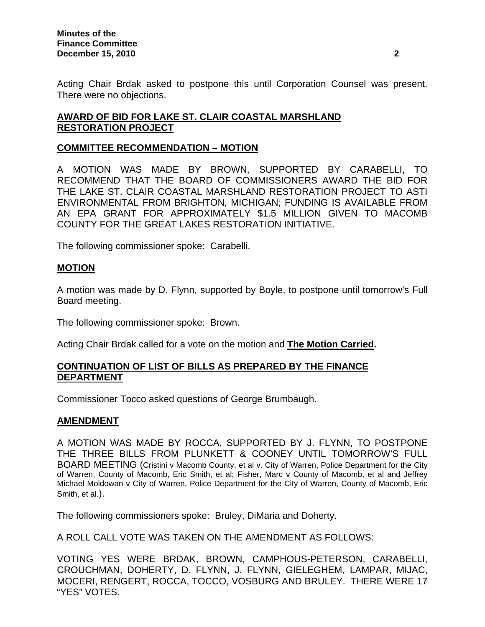Acting Chair Brdak asked to postpone this until Corporation Counsel was present. There were no objections.

# **AWARD OF BID FOR LAKE ST. CLAIR COASTAL MARSHLAND RESTORATION PROJECT**

### **COMMITTEE RECOMMENDATION – MOTION**

A MOTION WAS MADE BY BROWN, SUPPORTED BY CARABELLI, TO RECOMMEND THAT THE BOARD OF COMMISSIONERS AWARD THE BID FOR THE LAKE ST. CLAIR COASTAL MARSHLAND RESTORATION PROJECT TO ASTI ENVIRONMENTAL FROM BRIGHTON, MICHIGAN; FUNDING IS AVAILABLE FROM AN EPA GRANT FOR APPROXIMATELY \$1.5 MILLION GIVEN TO MACOMB COUNTY FOR THE GREAT LAKES RESTORATION INITIATIVE.

The following commissioner spoke: Carabelli.

### **MOTION**

A motion was made by D. Flynn, supported by Boyle, to postpone until tomorrow's Full Board meeting.

The following commissioner spoke: Brown.

Acting Chair Brdak called for a vote on the motion and **The Motion Carried.** 

### **CONTINUATION OF LIST OF BILLS AS PREPARED BY THE FINANCE DEPARTMENT**

Commissioner Tocco asked questions of George Brumbaugh.

### **AMENDMENT**

A MOTION WAS MADE BY ROCCA, SUPPORTED BY J. FLYNN, TO POSTPONE THE THREE BILLS FROM PLUNKETT & COONEY UNTIL TOMORROW'S FULL BOARD MEETING (Cristini v Macomb County, et al v. City of Warren, Police Department for the City of Warren, County of Macomb, Eric Smith, et al; Fisher, Marc v County of Macomb, et al and Jeffrey Michael Moldowan v City of Warren, Police Department for the City of Warren, County of Macomb, Eric Smith, et al.).

The following commissioners spoke: Bruley, DiMaria and Doherty.

A ROLL CALL VOTE WAS TAKEN ON THE AMENDMENT AS FOLLOWS:

VOTING YES WERE BRDAK, BROWN, CAMPHOUS-PETERSON, CARABELLI, CROUCHMAN, DOHERTY, D. FLYNN, J. FLYNN, GIELEGHEM, LAMPAR, MIJAC, MOCERI, RENGERT, ROCCA, TOCCO, VOSBURG AND BRULEY. THERE WERE 17 "YES" VOTES.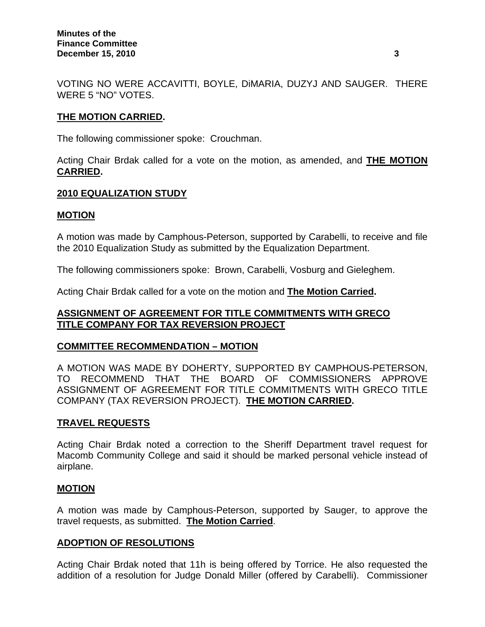VOTING NO WERE ACCAVITTI, BOYLE, DiMARIA, DUZYJ AND SAUGER. THERE WERE 5 "NO" VOTES.

### **THE MOTION CARRIED.**

The following commissioner spoke: Crouchman.

Acting Chair Brdak called for a vote on the motion, as amended, and **THE MOTION CARRIED.** 

### **2010 EQUALIZATION STUDY**

### **MOTION**

A motion was made by Camphous-Peterson, supported by Carabelli, to receive and file the 2010 Equalization Study as submitted by the Equalization Department.

The following commissioners spoke: Brown, Carabelli, Vosburg and Gieleghem.

Acting Chair Brdak called for a vote on the motion and **The Motion Carried.** 

### **ASSIGNMENT OF AGREEMENT FOR TITLE COMMITMENTS WITH GRECO TITLE COMPANY FOR TAX REVERSION PROJECT**

### **COMMITTEE RECOMMENDATION – MOTION**

A MOTION WAS MADE BY DOHERTY, SUPPORTED BY CAMPHOUS-PETERSON, TO RECOMMEND THAT THE BOARD OF COMMISSIONERS APPROVE ASSIGNMENT OF AGREEMENT FOR TITLE COMMITMENTS WITH GRECO TITLE COMPANY (TAX REVERSION PROJECT). **THE MOTION CARRIED.** 

### **TRAVEL REQUESTS**

Acting Chair Brdak noted a correction to the Sheriff Department travel request for Macomb Community College and said it should be marked personal vehicle instead of airplane.

### **MOTION**

A motion was made by Camphous-Peterson, supported by Sauger, to approve the travel requests, as submitted. **The Motion Carried**.

### **ADOPTION OF RESOLUTIONS**

Acting Chair Brdak noted that 11h is being offered by Torrice. He also requested the addition of a resolution for Judge Donald Miller (offered by Carabelli). Commissioner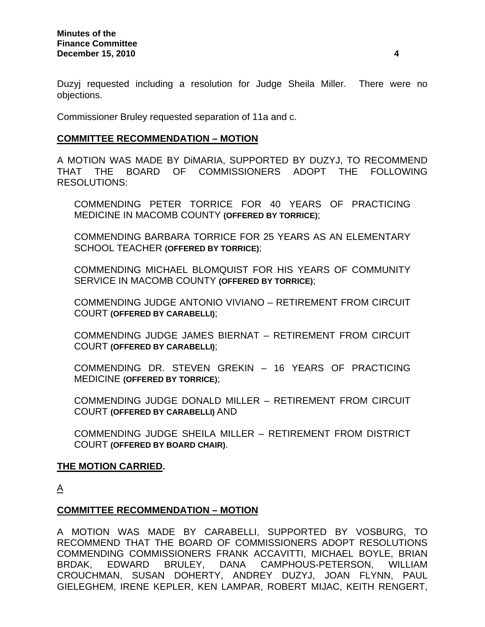Duzyj requested including a resolution for Judge Sheila Miller. There were no objections.

Commissioner Bruley requested separation of 11a and c.

### **COMMITTEE RECOMMENDATION – MOTION**

A MOTION WAS MADE BY DiMARIA, SUPPORTED BY DUZYJ, TO RECOMMEND THAT THE BOARD OF COMMISSIONERS ADOPT THE FOLLOWING RESOLUTIONS:

COMMENDING PETER TORRICE FOR 40 YEARS OF PRACTICING MEDICINE IN MACOMB COUNTY **(OFFERED BY TORRICE)**;

COMMENDING BARBARA TORRICE FOR 25 YEARS AS AN ELEMENTARY SCHOOL TEACHER **(OFFERED BY TORRICE)**;

COMMENDING MICHAEL BLOMQUIST FOR HIS YEARS OF COMMUNITY SERVICE IN MACOMB COUNTY **(OFFERED BY TORRICE)**;

COMMENDING JUDGE ANTONIO VIVIANO – RETIREMENT FROM CIRCUIT COURT **(OFFERED BY CARABELLI)**;

COMMENDING JUDGE JAMES BIERNAT – RETIREMENT FROM CIRCUIT COURT **(OFFERED BY CARABELLI)**;

COMMENDING DR. STEVEN GREKIN – 16 YEARS OF PRACTICING MEDICINE **(OFFERED BY TORRICE)**;

COMMENDING JUDGE DONALD MILLER – RETIREMENT FROM CIRCUIT COURT **(OFFERED BY CARABELLI)** AND

COMMENDING JUDGE SHEILA MILLER – RETIREMENT FROM DISTRICT COURT **(OFFERED BY BOARD CHAIR)**.

### **THE MOTION CARRIED.**

 $\underline{A}$ 

### **COMMITTEE RECOMMENDATION – MOTION**

A MOTION WAS MADE BY CARABELLI, SUPPORTED BY VOSBURG, TO RECOMMEND THAT THE BOARD OF COMMISSIONERS ADOPT RESOLUTIONS COMMENDING COMMISSIONERS FRANK ACCAVITTI, MICHAEL BOYLE, BRIAN BRDAK, EDWARD BRULEY, DANA CAMPHOUS-PETERSON, WILLIAM CROUCHMAN, SUSAN DOHERTY, ANDREY DUZYJ, JOAN FLYNN, PAUL GIELEGHEM, IRENE KEPLER, KEN LAMPAR, ROBERT MIJAC, KEITH RENGERT,